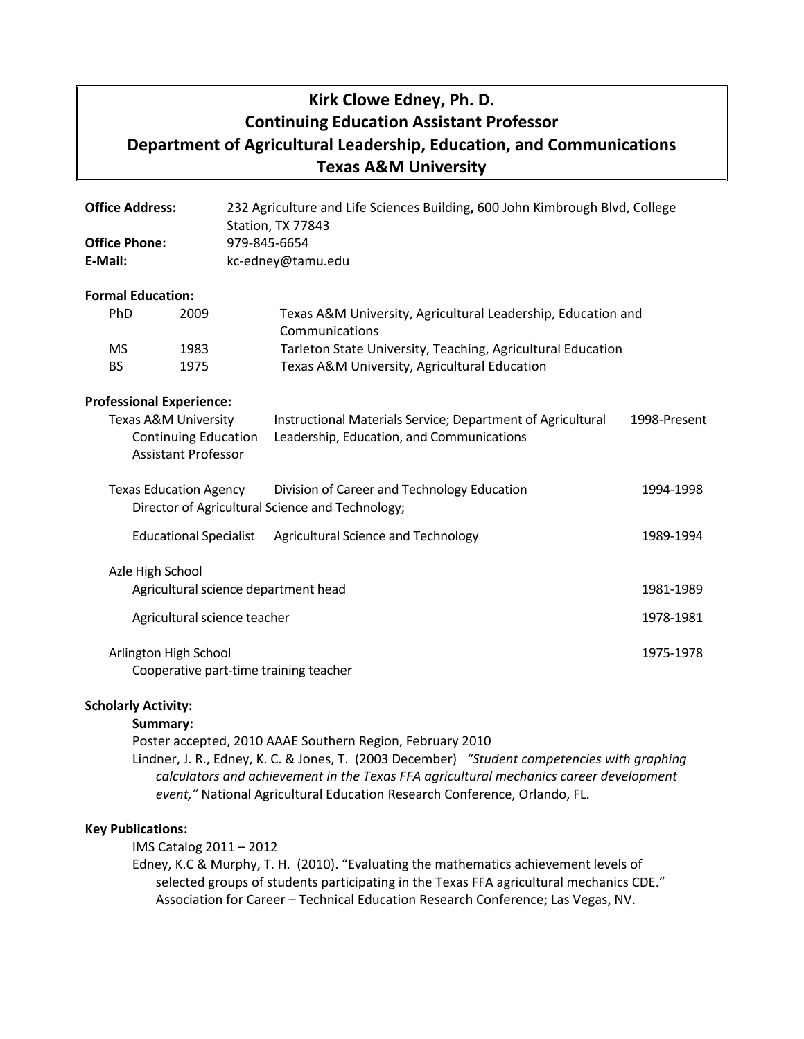# **Kirk Clowe Edney, Ph. D. Continuing Education Assistant Professor Department of Agricultural Leadership, Education, and Communications Texas A&M University**

| <b>Office Address:</b>                                                                       |                                                                                   |                               | 232 Agriculture and Life Sciences Building, 600 John Kimbrough Blvd, College<br>Station, TX 77843 |                                                                                                             |              |  |
|----------------------------------------------------------------------------------------------|-----------------------------------------------------------------------------------|-------------------------------|---------------------------------------------------------------------------------------------------|-------------------------------------------------------------------------------------------------------------|--------------|--|
| <b>Office Phone:</b>                                                                         |                                                                                   |                               |                                                                                                   | 979-845-6654                                                                                                |              |  |
| E-Mail:                                                                                      |                                                                                   | kc-edney@tamu.edu             |                                                                                                   |                                                                                                             |              |  |
|                                                                                              | <b>Formal Education:</b>                                                          |                               |                                                                                                   |                                                                                                             |              |  |
|                                                                                              | PhD                                                                               | 2009                          |                                                                                                   | Texas A&M University, Agricultural Leadership, Education and<br>Communications                              |              |  |
|                                                                                              | <b>MS</b><br><b>BS</b>                                                            | 1983<br>1975                  |                                                                                                   | Tarleton State University, Teaching, Agricultural Education<br>Texas A&M University, Agricultural Education |              |  |
|                                                                                              | <b>Professional Experience:</b>                                                   |                               |                                                                                                   |                                                                                                             |              |  |
| <b>Texas A&amp;M University</b><br><b>Continuing Education</b><br><b>Assistant Professor</b> |                                                                                   |                               |                                                                                                   | Instructional Materials Service; Department of Agricultural<br>Leadership, Education, and Communications    | 1998-Present |  |
|                                                                                              | <b>Texas Education Agency</b><br>Director of Agricultural Science and Technology; |                               |                                                                                                   | Division of Career and Technology Education                                                                 | 1994-1998    |  |
|                                                                                              |                                                                                   | <b>Educational Specialist</b> |                                                                                                   | Agricultural Science and Technology                                                                         | 1989-1994    |  |
|                                                                                              | Azle High School<br>Agricultural science department head                          |                               |                                                                                                   |                                                                                                             | 1981-1989    |  |
|                                                                                              | Agricultural science teacher                                                      |                               |                                                                                                   |                                                                                                             | 1978-1981    |  |
|                                                                                              | Arlington High School                                                             |                               |                                                                                                   | Cooperative part-time training teacher                                                                      | 1975-1978    |  |

## **Scholarly Activity:**

**Summary:** 

Poster accepted, 2010 AAAE Southern Region, February 2010

Lindner, J. R., Edney, K. C. & Jones, T. (2003 December) *"Student competencies with graphing calculators and achievement in the Texas FFA agricultural mechanics career development event,"* National Agricultural Education Research Conference, Orlando, FL.

## **Key Publications:**

IMS Catalog 2011 – 2012

Edney, K.C & Murphy, T. H. (2010). "Evaluating the mathematics achievement levels of selected groups of students participating in the Texas FFA agricultural mechanics CDE." Association for Career – Technical Education Research Conference; Las Vegas, NV.